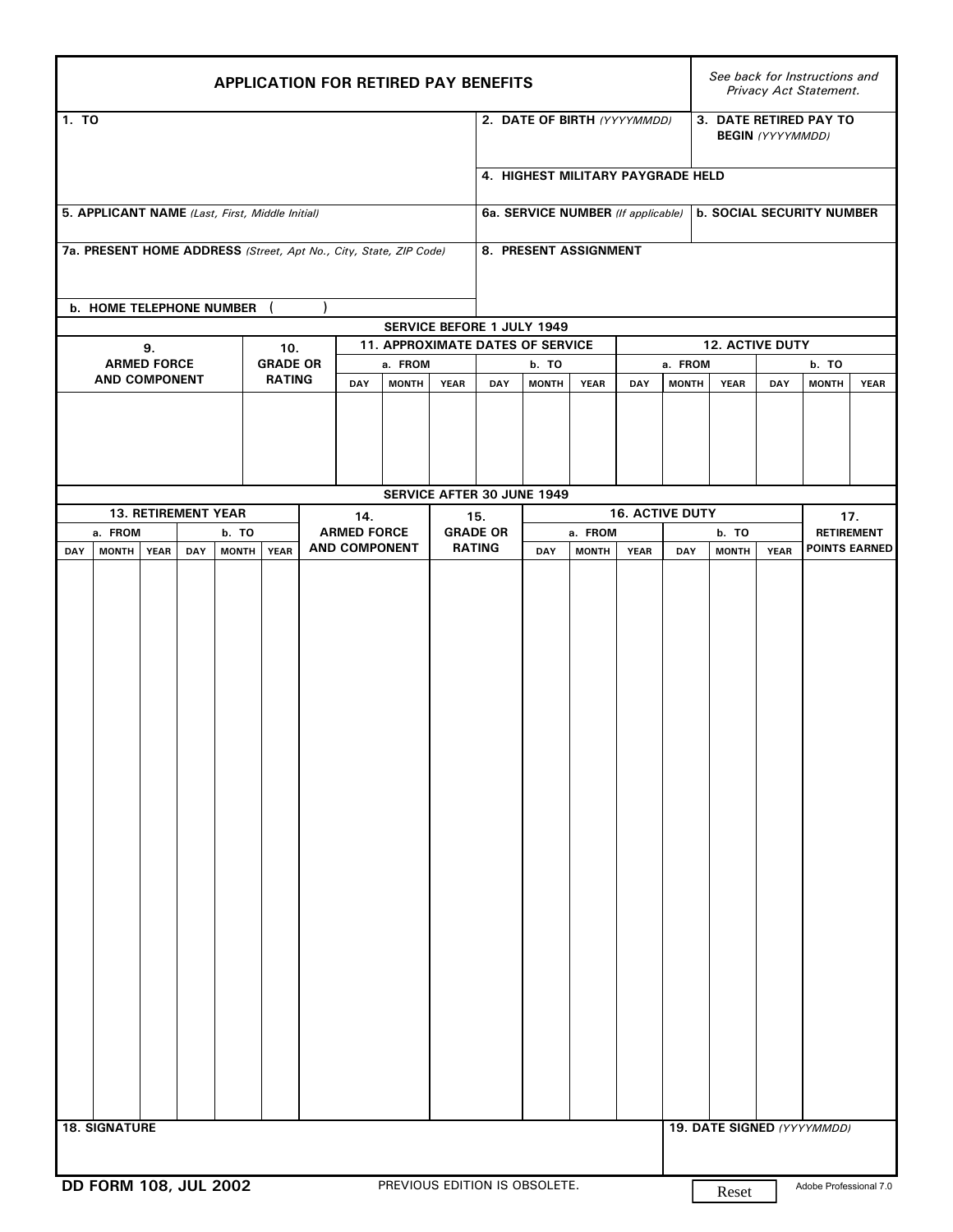|                                                                                          | <b>APPLICATION FOR RETIRED PAY BENEFITS</b>                                                |  |                    |               |                 |                                         |                      |                                |     |              |                              |     |                            |                                  | See back for Instructions and<br>Privacy Act Statement. |              |             |                      |  |
|------------------------------------------------------------------------------------------|--------------------------------------------------------------------------------------------|--|--------------------|---------------|-----------------|-----------------------------------------|----------------------|--------------------------------|-----|--------------|------------------------------|-----|----------------------------|----------------------------------|---------------------------------------------------------|--------------|-------------|----------------------|--|
| 1. TO                                                                                    |                                                                                            |  |                    |               |                 |                                         |                      |                                |     |              | 2. DATE OF BIRTH (YYYYMMDD)  |     |                            |                                  | 3. DATE RETIRED PAY TO<br><b>BEGIN</b> (YYYYMMDD)       |              |             |                      |  |
| 4. HIGHEST MILITARY PAYGRADE HELD                                                        |                                                                                            |  |                    |               |                 |                                         |                      |                                |     |              |                              |     |                            |                                  |                                                         |              |             |                      |  |
| 5. APPLICANT NAME (Last, First, Middle Initial)<br>6a. SERVICE NUMBER (If applicable)    |                                                                                            |  |                    |               |                 |                                         |                      |                                |     |              |                              |     |                            | <b>b. SOCIAL SECURITY NUMBER</b> |                                                         |              |             |                      |  |
|                                                                                          | 8. PRESENT ASSIGNMENT<br>7a. PRESENT HOME ADDRESS (Street, Apt No., City, State, ZIP Code) |  |                    |               |                 |                                         |                      |                                |     |              |                              |     |                            |                                  |                                                         |              |             |                      |  |
| b. HOME TELEPHONE NUMBER                                                                 |                                                                                            |  |                    |               |                 |                                         |                      |                                |     |              |                              |     |                            |                                  |                                                         |              |             |                      |  |
| SERVICE BEFORE 1 JULY 1949<br>11. APPROXIMATE DATES OF SERVICE<br>12. ACTIVE DUTY<br>10. |                                                                                            |  |                    |               |                 |                                         |                      |                                |     |              |                              |     |                            |                                  |                                                         |              |             |                      |  |
| 9.<br><b>ARMED FORCE</b>                                                                 |                                                                                            |  |                    |               | <b>GRADE OR</b> |                                         |                      | a. FROM                        |     | b. TO        |                              |     | a. FROM                    |                                  |                                                         |              | b. TO       |                      |  |
| <b>AND COMPONENT</b>                                                                     |                                                                                            |  |                    | <b>RATING</b> |                 | DAY                                     | <b>MONTH</b>         | <b>YEAR</b>                    | DAY | <b>MONTH</b> | <b>YEAR</b>                  | DAY | <b>MONTH</b>               | <b>YEAR</b>                      | DAY                                                     | <b>MONTH</b> | <b>YEAR</b> |                      |  |
|                                                                                          |                                                                                            |  |                    |               |                 |                                         |                      |                                |     |              |                              |     |                            |                                  |                                                         |              |             |                      |  |
| SERVICE AFTER 30 JUNE 1949                                                               |                                                                                            |  |                    |               |                 |                                         |                      |                                |     |              |                              |     |                            |                                  |                                                         |              |             |                      |  |
| 13. RETIREMENT YEAR                                                                      |                                                                                            |  |                    |               |                 | 14.                                     |                      |                                |     |              |                              |     |                            | <b>16. ACTIVE DUTY</b>           |                                                         |              | 17.         |                      |  |
|                                                                                          | DAY                                                                                        |  |                    |               |                 |                                         | <b>AND COMPONENT</b> |                                |     |              |                              |     | <b>YEAR</b>                |                                  |                                                         | <b>YEAR</b>  |             | <b>POINTS EARNED</b> |  |
|                                                                                          | a. FROM<br>b. TO<br><b>MONTH</b><br><b>YEAR</b><br><b>MONTH</b><br><b>YEAR</b><br>DAY      |  | <b>ARMED FORCE</b> |               |                 | 15.<br><b>GRADE OR</b><br><b>RATING</b> |                      | a. FROM<br>DAY<br><b>MONTH</b> |     |              | b. TO<br><b>MONTH</b><br>DAY |     |                            | <b>RETIREMENT</b>                |                                                         |              |             |                      |  |
|                                                                                          | <b>18. SIGNATURE</b>                                                                       |  |                    |               |                 |                                         |                      |                                |     |              |                              |     | 19. DATE SIGNED (YYYYMMDD) |                                  |                                                         |              |             |                      |  |